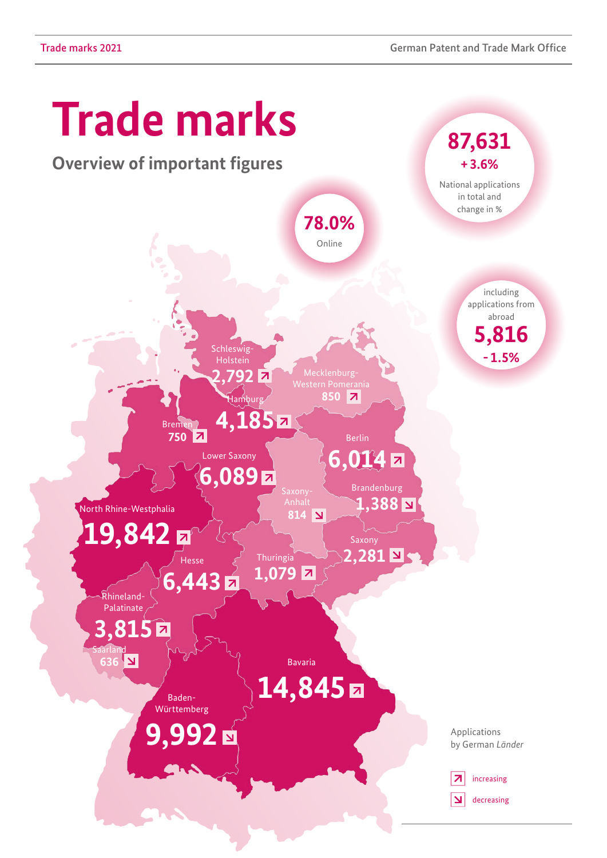